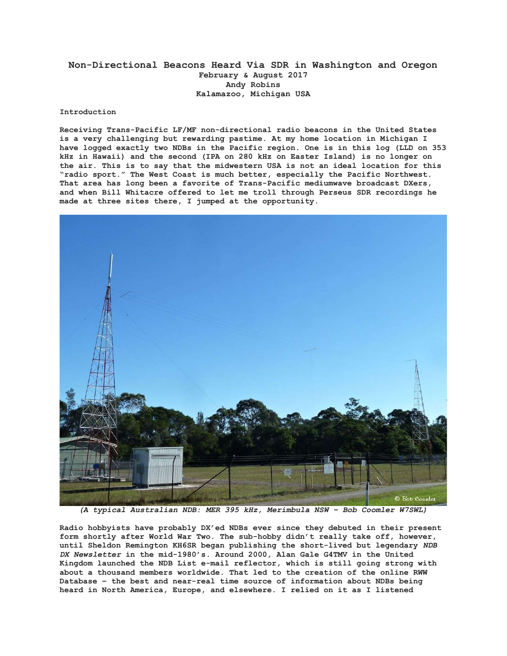## Non-Directional Beacons Heard Via SDR in Washington and Oregon February & August 2017 Andy Robins Kalamazoo, Michigan USA

## Introduction

Receiving Trans-Pacific LF/MF non-directional radio beacons in the United States is a very challenging but rewarding pastime. At my home location in Michigan I have logged exactly two NDBs in the Pacific region. One is in this log (LLD on 353 kHz in Hawaii) and the second (IPA on 280 kHz on Easter Island) is no longer on the air. This is to say that the midwestern USA is not an ideal location for this "radio sport." The West Coast is much better, especially the Pacific Northwest. That area has long been a favorite of Trans-Pacific mediumwave broadcast DXers, and when Bill Whitacre offered to let me troll through Perseus SDR recordings he made at three sites there, I jumped at the opportunity.



(A typical Australian NDB: MER 395 kHz, Merimbula NSW – Bob Coomler W7SWL)

Radio hobbyists have probably DX'ed NDBs ever since they debuted in their present form shortly after World War Two. The sub-hobby didn't really take off, however, until Sheldon Remington KH6SR began publishing the short-lived but legendary NDB DX Newsletter in the mid-1980's. Around 2000, Alan Gale G4TMV in the United Kingdom launched the NDB List e-mail reflector, which is still going strong with about a thousand members worldwide. That led to the creation of the online RWW Database – the best and near-real time source of information about NDBs being heard in North America, Europe, and elsewhere. I relied on it as I listened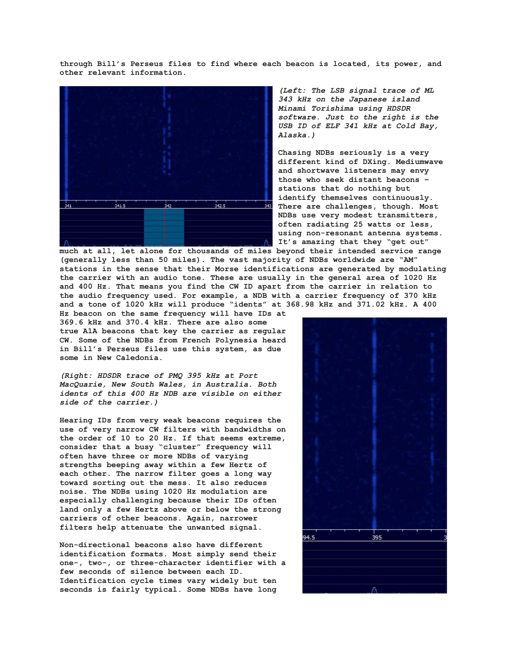through Bill's Perseus files to find where each beacon is located, its power, and other relevant information.



(Left: The LSB signal trace of ML 343 kHz on the Japanese island Minami Torishima using HDSDR software. Just to the right is the USB ID of ELF 341 kHz at Cold Bay, Alaska.)

Chasing NDBs seriously is a very different kind of DXing. Mediumwave and shortwave listeners may envy those who seek distant beacons – stations that do nothing but identify themselves continuously. There are challenges, though. Most NDBs use very modest transmitters, often radiating 25 watts or less, using non-resonant antenna systems. It's amazing that they "get out"

much at all, let alone for thousands of miles beyond their intended service range (generally less than 50 miles). The vast majority of NDBs worldwide are "AM" stations in the sense that their Morse identifications are generated by modulating the carrier with an audio tone. These are usually in the general area of 1020 Hz and 400 Hz. That means you find the CW ID apart from the carrier in relation to the audio frequency used. For example, a NDB with a carrier frequency of 370 kHz and a tone of 1020 kHz will produce "idents" at 368.98 kHz and 371.02 kHz. A 400

Hz beacon on the same frequency will have IDs at 369.6 kHz and 370.4 kHz. There are also some true A1A beacons that key the carrier as regular CW. Some of the NDBs from French Polynesia heard in Bill's Perseus files use this system, as due some in New Caledonia.

(Right: HDSDR trace of PMQ 395 kHz at Port MacQuarie, New South Wales, in Australia. Both idents of this 400 Hz NDB are visible on either side of the carrier.)

Hearing IDs from very weak beacons requires the use of very narrow CW filters with bandwidths on the order of 10 to 20 Hz. If that seems extreme, consider that a busy "cluster" frequency will often have three or more NDBs of varying strengths beeping away within a few Hertz of each other. The narrow filter goes a long way toward sorting out the mess. It also reduces noise. The NDBs using 1020 Hz modulation are especially challenging because their IDs often land only a few Hertz above or below the strong carriers of other beacons. Again, narrower filters help attenuate the unwanted signal.

Non-directional beacons also have different identification formats. Most simply send their one-, two-, or three-character identifier with a few seconds of silence between each ID. Identification cycle times vary widely but ten seconds is fairly typical. Some NDBs have long

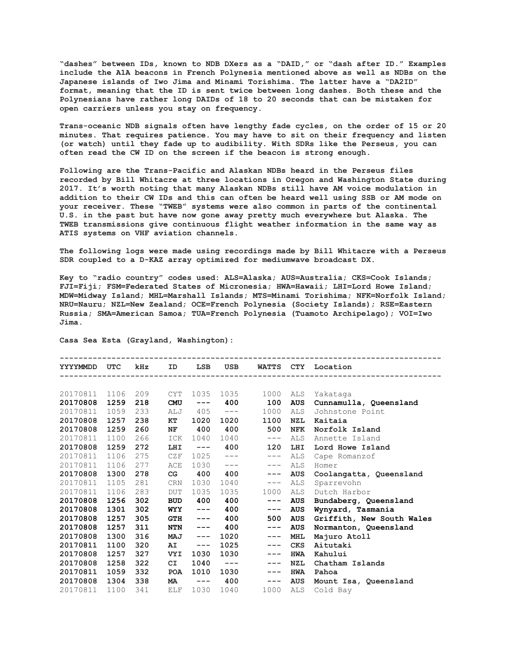"dashes" between IDs, known to NDB DXers as a "DAID," or "dash after ID." Examples include the A1A beacons in French Polynesia mentioned above as well as NDBs on the Japanese islands of Iwo Jima and Minami Torishima. The latter have a "DA2ID" format, meaning that the ID is sent twice between long dashes. Both these and the Polynesians have rather long DAIDs of 18 to 20 seconds that can be mistaken for open carriers unless you stay on frequency.

Trans-oceanic NDB signals often have lengthy fade cycles, on the order of 15 or 20 minutes. That requires patience. You may have to sit on their frequency and listen (or watch) until they fade up to audibility. With SDRs like the Perseus, you can often read the CW ID on the screen if the beacon is strong enough.

Following are the Trans-Pacific and Alaskan NDBs heard in the Perseus files recorded by Bill Whitacre at three locations in Oregon and Washington State during 2017. It's worth noting that many Alaskan NDBs still have AM voice modulation in addition to their CW IDs and this can often be heard well using SSB or AM mode on your receiver. These "TWEB" systems were also common in parts of the continental U.S. in the past but have now gone away pretty much everywhere but Alaska. The TWEB transmissions give continuous flight weather information in the same way as ATIS systems on VHF aviation channels.

The following logs were made using recordings made by Bill Whitacre with a Perseus SDR coupled to a D-KAZ array optimized for mediumwave broadcast DX.

Key to "radio country" codes used: ALS=Alaska; AUS=Australia; CKS=Cook Islands; FJI=Fiji; FSM=Federated States of Micronesia; HWA=Hawaii; LHI=Lord Howe Island; MDW=Midway Island; MHL=Marshall Islands; MTS=Minami Torishima; NFK=Norfolk Island; NRU=Nauru; NZL=New Zealand; OCE=French Polynesia (Society Islands); RSE=Eastern Russia; SMA=American Samoa; TUA=French Polynesia (Tuamoto Archipelago); VOI=Iwo Jima.

| YYYYMMDD | UTC  | kHz | ID         | LSB                 | <b>USB</b>          | WATTS CTY           |            | Location                  |
|----------|------|-----|------------|---------------------|---------------------|---------------------|------------|---------------------------|
|          |      |     |            |                     |                     |                     |            |                           |
|          |      |     |            |                     |                     |                     |            |                           |
| 20170811 | 1106 | 209 | <b>CYT</b> | 1035                | 1035                | 1000                | ALS        | Yakataga                  |
| 20170808 | 1259 | 218 | <b>CMU</b> | $\qquad \qquad - -$ | 400                 | 100                 | <b>AUS</b> | Cunnamulla, Queensland    |
| 20170811 | 1059 | 233 | ALJ        | 405                 | $---$               | 1000                | ALS        | Johnstone Point           |
| 20170808 | 1257 | 238 | KT         | 1020                | 1020                | 1100                | <b>NZL</b> | Kaitaia                   |
| 20170808 | 1259 | 260 | NF         | 400                 | 400                 | 500                 | <b>NFK</b> | Norfolk Island            |
| 20170811 | 1100 | 266 | ICK        | 1040                | 1040                | $---$               | <b>ALS</b> | Annette Island            |
| 20170808 | 1259 | 272 | LHI        | $---$               | 400                 | 120                 | LHI        | Lord Howe Island          |
| 20170811 | 1106 | 275 | CZF        | 1025                | $\qquad \qquad - -$ | $--\,$ $-$          | ALS        | Cape Romanzof             |
| 20170811 | 1106 | 277 | ACE        | 1030                | $\qquad \qquad - -$ | $--\,$ $-$          | ALS        | Homer                     |
| 20170808 | 1300 | 278 | CG         | 400                 | 400 - 100           | $---$               | <b>AUS</b> | Coolangatta, Queensland   |
| 20170811 | 1105 | 281 | <b>CRN</b> | 1030                | 1040                | $---$               | <b>ALS</b> | Sparrevohn                |
| 20170811 | 1106 | 283 | <b>DUT</b> | 1035                | 1035                | 1000                | ALS        | Dutch Harbor              |
| 20170808 | 1256 | 302 | <b>BUD</b> | 400                 | 400                 | $---$               | <b>AUS</b> | Bundaberg, Queensland     |
| 20170808 | 1301 | 302 | WYY        | $---$               | 400                 | $\qquad \qquad - -$ | <b>AUS</b> | Wynyard, Tasmania         |
| 20170808 | 1257 | 305 | <b>GTH</b> | $---$               | 400                 | 500                 | <b>AUS</b> | Griffith, New South Wales |
| 20170808 | 1257 | 311 | <b>NTN</b> | $\qquad \qquad - -$ | 400                 | $\qquad \qquad - -$ | <b>AUS</b> | Normanton, Queensland     |
| 20170808 | 1300 | 316 | <b>MAJ</b> | $---$               | 1020                | $---$               | <b>MHL</b> | Majuro Atoll              |
| 20170811 | 1100 | 320 | AI         | $---$               | 1025                | $---$               | <b>CKS</b> | Aitutaki                  |
| 20170808 | 1257 | 327 | <b>VYI</b> | 1030                | 1030                | $---$               | <b>HWA</b> | Kahului                   |
| 20170808 | 1258 | 322 | CI         | 1040                | $---$               | $---$               | <b>NZL</b> | Chatham Islands           |
| 20170811 | 1059 | 332 | <b>POA</b> | 1010                | 1030                | $---$               | <b>HWA</b> | Pahoa                     |
| 20170808 | 1304 | 338 | <b>MA</b>  | $---$               | 400                 | $---$               | <b>AUS</b> | Mount Isa, Queensland     |
| 20170811 | 1100 | 341 | <b>ELF</b> | 1030                | 1040                | 1000                | <b>ALS</b> | Cold Bay                  |

Casa Sea Esta (Grayland, Washington):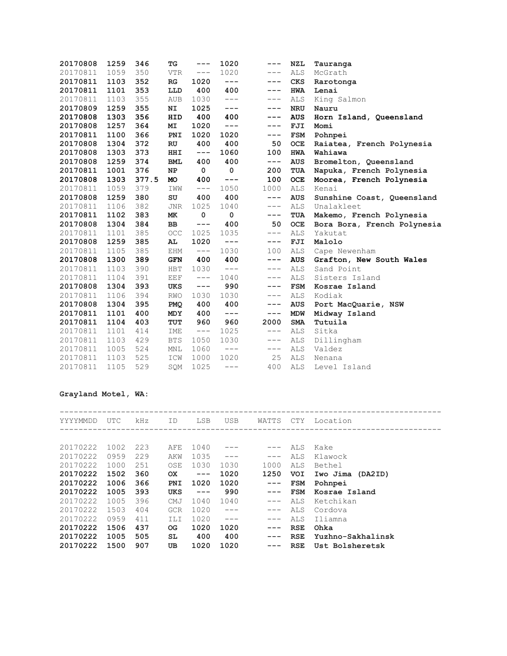| 20170808 | 1259 | 346   | TG                               | $---$               | 1020                | $---$               | <b>NZL</b> | Tauranga                    |
|----------|------|-------|----------------------------------|---------------------|---------------------|---------------------|------------|-----------------------------|
| 20170811 | 1059 | 350   | <b>VTR</b>                       | $---$               | 1020                | $---$               | ALS        | McGrath                     |
| 20170811 | 1103 | 352   | RG                               | 1020                | $---$               | $---$               | <b>CKS</b> | Rarotonga                   |
| 20170811 | 1101 | 353   | LLD                              | 400                 | 400                 | $---$               | <b>HWA</b> | Lenai                       |
| 20170811 | 1103 | 355   | <b>AUB</b>                       | 1030                | $\qquad \qquad - -$ | $\qquad \qquad - -$ | <b>ALS</b> | King Salmon                 |
| 20170809 | 1259 | 355   | NI.                              | 1025                | $---$               | $\qquad \qquad - -$ | <b>NRU</b> | Nauru                       |
| 20170808 | 1303 | 356   | HID                              | 400                 | 400                 | $---$               | <b>AUS</b> | Horn Island, Queensland     |
| 20170808 | 1257 | 364   | MI                               | 1020                | $---$               | $---$               | FJI        | Momi                        |
| 20170811 | 1100 | 366   | PNI                              | 1020                | 1020                | $---$               | <b>FSM</b> | Pohnpei                     |
| 20170808 | 1304 | 372   | RU                               | 400                 | 400                 | 50                  | OCE        | Raiatea, French Polynesia   |
| 20170808 | 1303 | 373   | HHI                              | $---$               | 1060                | 100                 | <b>HWA</b> | Wahiawa                     |
| 20170808 | 1259 | 374   | <b>BML</b>                       | 400                 | 400                 | $---$               | <b>AUS</b> | Bromelton, Queensland       |
| 20170811 | 1001 | 376   | NP                               | 0                   | $\mathbf 0$         | 200                 | TUA        | Napuka, French Polynesia    |
| 20170808 | 1303 | 377.5 | <b>MO</b>                        | 400                 | $---$               | 100                 | <b>OCE</b> | Moorea, French Polynesia    |
| 20170811 | 1059 | 379   | IWW                              | $--\,$              | 1050                | 1000                | <b>ALS</b> | Kenai                       |
| 20170808 | 1259 | 380   | SU                               | 400                 | 400                 | $---$               | <b>AUS</b> | Sunshine Coast, Queensland  |
| 20170811 | 1106 | 382   | <b>JNR</b>                       | 1025                | 1040                | $\qquad \qquad - -$ | ALS        | Unalakleet                  |
| 20170811 | 1102 | 383   | МK                               | $\mathbf 0$         | 0                   | $---$               | <b>TUA</b> | Makemo, French Polynesia    |
| 20170808 | 1304 | 384   | <b>BB</b>                        | $---$               | 400                 | 50                  | <b>OCE</b> | Bora Bora, French Polynesia |
| 20170811 | 1101 | 385   | $\mathop{\mathsf{OCC}}$          | 1025                | 1035                | $\qquad \qquad - -$ | <b>ALS</b> | Yakutat                     |
| 20170808 | 1259 | 385   | AL                               | 1020                | $---$               | $---$               | FJI        | Malolo                      |
| 20170811 | 1105 | 385   | <b>EHM</b>                       | $---$               | 1030                | 100                 | ALS        | Cape Newenham               |
| 20170808 | 1300 | 389   | GFN                              | 400                 | 400                 | $\qquad \qquad - -$ | <b>AUS</b> | Grafton, New South Wales    |
| 20170811 | 1103 | 390   | <b>HBT</b>                       | 1030                | $\qquad \qquad - -$ | $\qquad \qquad - -$ | <b>ALS</b> | Sand Point                  |
| 20170811 | 1104 | 391   | EEF                              | $- - -$             | 1040                | $--\,$              | <b>ALS</b> | Sisters Island              |
| 20170808 | 1304 | 393   | <b>UKS</b>                       | $---$               | 990                 | $---$               | <b>FSM</b> | Kosrae Island               |
| 20170811 | 1106 | 394   | RWO                              | 1030                | 1030                | $---$               | <b>ALS</b> | Kodiak                      |
| 20170808 | 1304 | 395   | <b>PMO</b>                       | 400                 | 400                 | $---$               | <b>AUS</b> | Port MacQuarie, NSW         |
| 20170811 | 1101 | 400   | MDY                              | 400                 | $---$               | $---$               | <b>MDW</b> | Midway Island               |
| 20170811 | 1104 | 403   | TUT                              | 960                 | 960                 | 2000                | <b>SMA</b> | Tutuila                     |
| 20170811 | 1101 | 414   | <b>IME</b>                       | $\qquad \qquad - -$ | 1025                | $\qquad \qquad - -$ | <b>ALS</b> | Sitka                       |
| 20170811 | 1103 | 429   | <b>BTS</b>                       | 1050                | 1030                | $--\,$ $-$          | <b>ALS</b> | Dillingham                  |
| 20170811 | 1005 | 524   | $\texttt{M}\texttt{N}\texttt{L}$ | 1060                | $--\,$              | $--\,$ $-$          | <b>ALS</b> | Valdez                      |
| 20170811 | 1103 | 525   | ICW                              | 1000                | 1020                | 25                  | ALS        | Nenana                      |
| 20170811 | 1105 | 529   | SOM                              | 1025                | $- - -$             | 400                 | <b>ALS</b> | Level Island                |

## Grayland Motel, WA:

| YYYYMMDD | UTC  | kHz | ID         | LSB   | <b>USB</b> | WATTS               | <b>CTY</b> | Location          |
|----------|------|-----|------------|-------|------------|---------------------|------------|-------------------|
|          |      |     |            |       |            |                     |            |                   |
| 20170222 | 1002 | 223 | AFE        | 1040  |            | $\qquad \qquad - -$ | <b>ALS</b> | Kake              |
| 20170222 | 0959 | 229 | AKW        | 1035  |            | $\qquad \qquad - -$ | ALS        | Klawock           |
| 20170222 | 1000 | 251 | OSE        | 1030  | 1030       | 1000                | <b>ALS</b> | Bethel            |
| 20170222 | 1502 | 360 | <b>OX</b>  | $---$ | 1020       | 1250                | <b>TOV</b> | Iwo Jima (DA2ID)  |
| 20170222 | 1006 | 366 | PNI        | 1020  | 1020       | $---$               | <b>FSM</b> | Pohnpei           |
| 20170222 | 1005 | 393 | UKS        | $---$ | 990        | $---$               | <b>FSM</b> | Kosrae Island     |
| 20170222 | 1005 | 396 | CMJ        | 1040  | 1040       | $\qquad \qquad - -$ | <b>ALS</b> | Ketchikan         |
| 20170222 | 1503 | 404 | <b>GCR</b> | 1020  |            | $\qquad \qquad - -$ | ALS        | Cordova           |
| 20170222 | 0959 | 411 | ILI        | 1020  | $---$      | $\qquad \qquad -$   | ALS        | Iliamna           |
| 20170222 | 1506 | 437 | OG.        | 1020  | 1020       | $\qquad \qquad - -$ | <b>RSE</b> | Ohka              |
| 20170222 | 1005 | 505 | SL         | 400   | 400        | $---$               | <b>RSE</b> | Yuzhno-Sakhalinsk |
| 20170222 | 1500 | 907 | UB         | 1020  | 1020       |                     | <b>RSE</b> | Ust Bolsheretsk   |